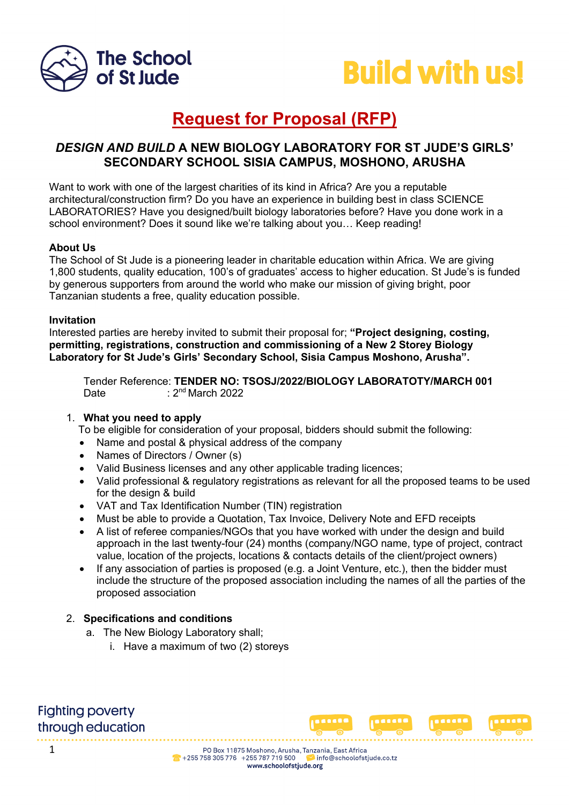



# **Request for Proposal (RFP)**

### *DESIGN AND BUILD* **A NEW BIOLOGY LABORATORY FOR ST JUDE'S GIRLS' SECONDARY SCHOOL SISIA CAMPUS, MOSHONO, ARUSHA**

Want to work with one of the largest charities of its kind in Africa? Are you a reputable architectural/construction firm? Do you have an experience in building best in class SCIENCE LABORATORIES? Have you designed/built biology laboratories before? Have you done work in a school environment? Does it sound like we're talking about you… Keep reading!

#### **About Us**

The School of St Jude is a pioneering leader in charitable education within Africa. We are giving 1,800 students, quality education, 100's of graduates' access to higher education. St Jude's is funded by generous supporters from around the world who make our mission of giving bright, poor Tanzanian students a free, quality education possible.

#### **Invitation**

Interested parties are hereby invited to submit their proposal for; **"Project designing, costing, permitting, registrations, construction and commissioning of a New 2 Storey Biology Laboratory for St Jude's Girls' Secondary School, Sisia Campus Moshono, Arusha".**

Tender Reference: **TENDER NO: TSOSJ/2022/BIOLOGY LABORATOTY/MARCH 001** Date  $: 2^{nd}$  March 2022

#### 1. **What you need to apply**

To be eligible for consideration of your proposal, bidders should submit the following:

- Name and postal & physical address of the company
- Names of Directors / Owner (s)
- Valid Business licenses and any other applicable trading licences:
- Valid professional & regulatory registrations as relevant for all the proposed teams to be used for the design & build
- VAT and Tax Identification Number (TIN) registration
- Must be able to provide a Quotation, Tax Invoice, Delivery Note and EFD receipts
- A list of referee companies/NGOs that you have worked with under the design and build approach in the last twenty-four (24) months (company/NGO name, type of project, contract value, location of the projects, locations & contacts details of the client/project owners)
- If any association of parties is proposed (e.g. a Joint Venture, etc.), then the bidder must include the structure of the proposed association including the names of all the parties of the proposed association

#### 2. **Specifications and conditions**

- a. The New Biology Laboratory shall;
	- i. Have a maximum of two (2) storeys



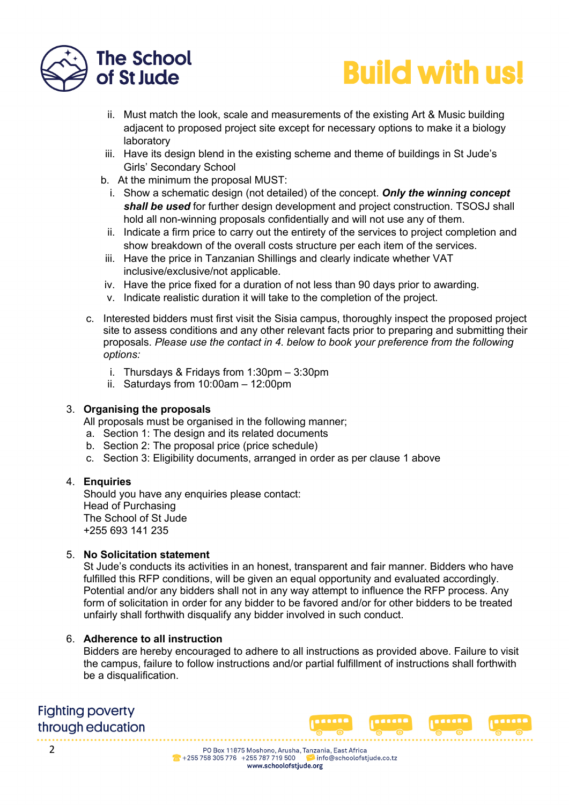



- ii. Must match the look, scale and measurements of the existing Art & Music building adjacent to proposed project site except for necessary options to make it a biology laboratory
- iii. Have its design blend in the existing scheme and theme of buildings in St Jude's Girls' Secondary School
- b. At the minimum the proposal MUST:
	- i. Show a schematic design (not detailed) of the concept. *Only the winning concept shall be used* for further design development and project construction. TSOSJ shall hold all non-winning proposals confidentially and will not use any of them.
- ii. Indicate a firm price to carry out the entirety of the services to project completion and show breakdown of the overall costs structure per each item of the services.
- iii. Have the price in Tanzanian Shillings and clearly indicate whether VAT inclusive/exclusive/not applicable.
- iv. Have the price fixed for a duration of not less than 90 days prior to awarding.
- v. Indicate realistic duration it will take to the completion of the project.
- c. Interested bidders must first visit the Sisia campus, thoroughly inspect the proposed project site to assess conditions and any other relevant facts prior to preparing and submitting their proposals. *Please use the contact in 4. below to book your preference from the following options:*
	- i. Thursdays & Fridays from 1:30pm 3:30pm
	- ii. Saturdays from 10:00am 12:00pm

#### 3. **Organising the proposals**

All proposals must be organised in the following manner;

- a. Section 1: The design and its related documents
- b. Section 2: The proposal price (price schedule)
- c. Section 3: Eligibility documents, arranged in order as per clause 1 above

#### 4. **Enquiries**

Should you have any enquiries please contact: Head of Purchasing The School of St Jude +255 693 141 235

#### 5. **No Solicitation statement**

St Jude's conducts its activities in an honest, transparent and fair manner. Bidders who have fulfilled this RFP conditions, will be given an equal opportunity and evaluated accordingly. Potential and/or any bidders shall not in any way attempt to influence the RFP process. Any form of solicitation in order for any bidder to be favored and/or for other bidders to be treated unfairly shall forthwith disqualify any bidder involved in such conduct.

#### 6. **Adherence to all instruction**

Bidders are hereby encouraged to adhere to all instructions as provided above. Failure to visit the campus, failure to follow instructions and/or partial fulfillment of instructions shall forthwith be a disqualification.

## **Fighting poverty** through education